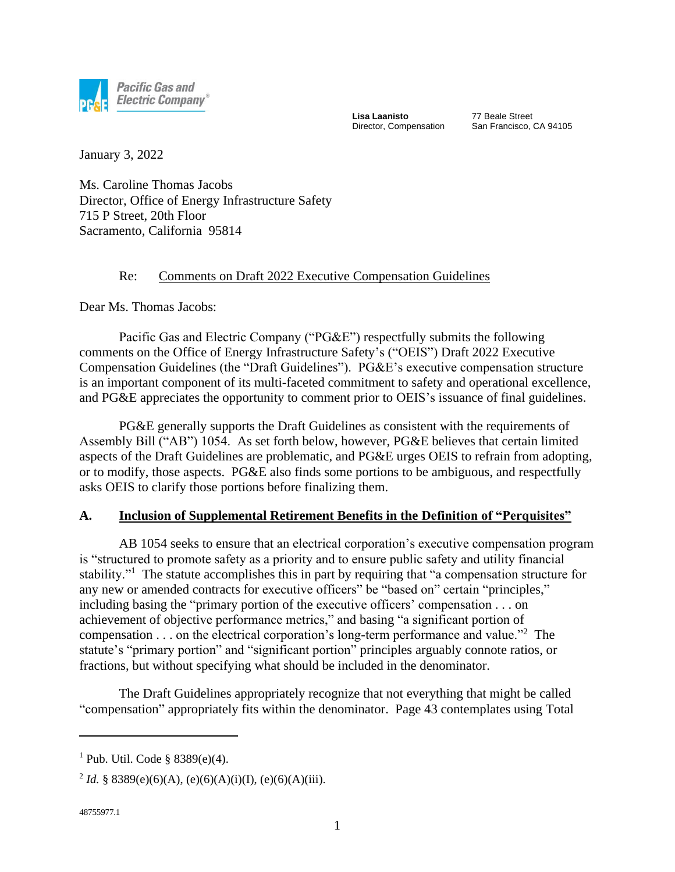

**Lisa Laanisto** Director, Compensation 77 Beale Street San Francisco, CA 94105

January 3, 2022

Ms. Caroline Thomas Jacobs Director, Office of Energy Infrastructure Safety 715 P Street, 20th Floor Sacramento, California 95814

## Re: Comments on Draft 2022 Executive Compensation Guidelines

Dear Ms. Thomas Jacobs:

Pacific Gas and Electric Company ("PG&E") respectfully submits the following comments on the Office of Energy Infrastructure Safety's ("OEIS") Draft 2022 Executive Compensation Guidelines (the "Draft Guidelines"). PG&E's executive compensation structure is an important component of its multi-faceted commitment to safety and operational excellence, and PG&E appreciates the opportunity to comment prior to OEIS's issuance of final guidelines.

PG&E generally supports the Draft Guidelines as consistent with the requirements of Assembly Bill ("AB") 1054. As set forth below, however, PG&E believes that certain limited aspects of the Draft Guidelines are problematic, and PG&E urges OEIS to refrain from adopting, or to modify, those aspects. PG&E also finds some portions to be ambiguous, and respectfully asks OEIS to clarify those portions before finalizing them.

## **A. Inclusion of Supplemental Retirement Benefits in the Definition of "Perquisites"**

AB 1054 seeks to ensure that an electrical corporation's executive compensation program is "structured to promote safety as a priority and to ensure public safety and utility financial stability."<sup>1</sup> The statute accomplishes this in part by requiring that "a compensation structure for any new or amended contracts for executive officers" be "based on" certain "principles," including basing the "primary portion of the executive officers' compensation . . . on achievement of objective performance metrics," and basing "a significant portion of compensation  $\dots$  on the electrical corporation's long-term performance and value."<sup>2</sup> The statute's "primary portion" and "significant portion" principles arguably connote ratios, or fractions, but without specifying what should be included in the denominator.

The Draft Guidelines appropriately recognize that not everything that might be called "compensation" appropriately fits within the denominator. Page 43 contemplates using Total

 $1$  Pub. Util. Code § 8389(e)(4).

<sup>&</sup>lt;sup>2</sup> Id. § 8389(e)(6)(A), (e)(6)(A)(i)(I), (e)(6)(A)(iii).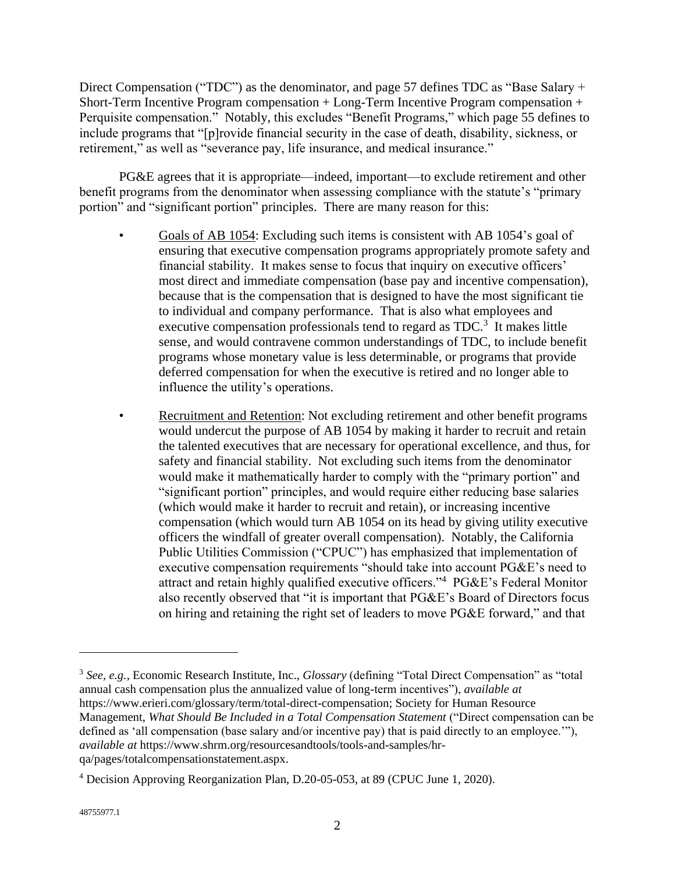Direct Compensation ("TDC") as the denominator, and page 57 defines TDC as "Base Salary + Short-Term Incentive Program compensation + Long-Term Incentive Program compensation + Perquisite compensation." Notably, this excludes "Benefit Programs," which page 55 defines to include programs that "[p]rovide financial security in the case of death, disability, sickness, or retirement," as well as "severance pay, life insurance, and medical insurance."

PG&E agrees that it is appropriate—indeed, important—to exclude retirement and other benefit programs from the denominator when assessing compliance with the statute's "primary portion" and "significant portion" principles. There are many reason for this:

- Goals of AB 1054: Excluding such items is consistent with AB 1054's goal of ensuring that executive compensation programs appropriately promote safety and financial stability. It makes sense to focus that inquiry on executive officers' most direct and immediate compensation (base pay and incentive compensation), because that is the compensation that is designed to have the most significant tie to individual and company performance. That is also what employees and executive compensation professionals tend to regard as  $TDC$ <sup>3</sup>. It makes little sense, and would contravene common understandings of TDC, to include benefit programs whose monetary value is less determinable, or programs that provide deferred compensation for when the executive is retired and no longer able to influence the utility's operations.
- Recruitment and Retention: Not excluding retirement and other benefit programs would undercut the purpose of AB 1054 by making it harder to recruit and retain the talented executives that are necessary for operational excellence, and thus, for safety and financial stability. Not excluding such items from the denominator would make it mathematically harder to comply with the "primary portion" and "significant portion" principles, and would require either reducing base salaries (which would make it harder to recruit and retain), or increasing incentive compensation (which would turn AB 1054 on its head by giving utility executive officers the windfall of greater overall compensation). Notably, the California Public Utilities Commission ("CPUC") has emphasized that implementation of executive compensation requirements "should take into account PG&E's need to attract and retain highly qualified executive officers."<sup>4</sup> PG&E's Federal Monitor also recently observed that "it is important that PG&E's Board of Directors focus on hiring and retaining the right set of leaders to move PG&E forward," and that

<sup>3</sup> *See, e.g.*, Economic Research Institute, Inc., *Glossary* (defining "Total Direct Compensation" as "total annual cash compensation plus the annualized value of long-term incentives"), *available at* https://www.erieri.com/glossary/term/total-direct-compensation; Society for Human Resource Management, *What Should Be Included in a Total Compensation Statement* ("Direct compensation can be defined as 'all compensation (base salary and/or incentive pay) that is paid directly to an employee.'"), *available at* https://www.shrm.org/resourcesandtools/tools-and-samples/hrqa/pages/totalcompensationstatement.aspx.

<sup>4</sup> Decision Approving Reorganization Plan, D.20-05-053, at 89 (CPUC June 1, 2020).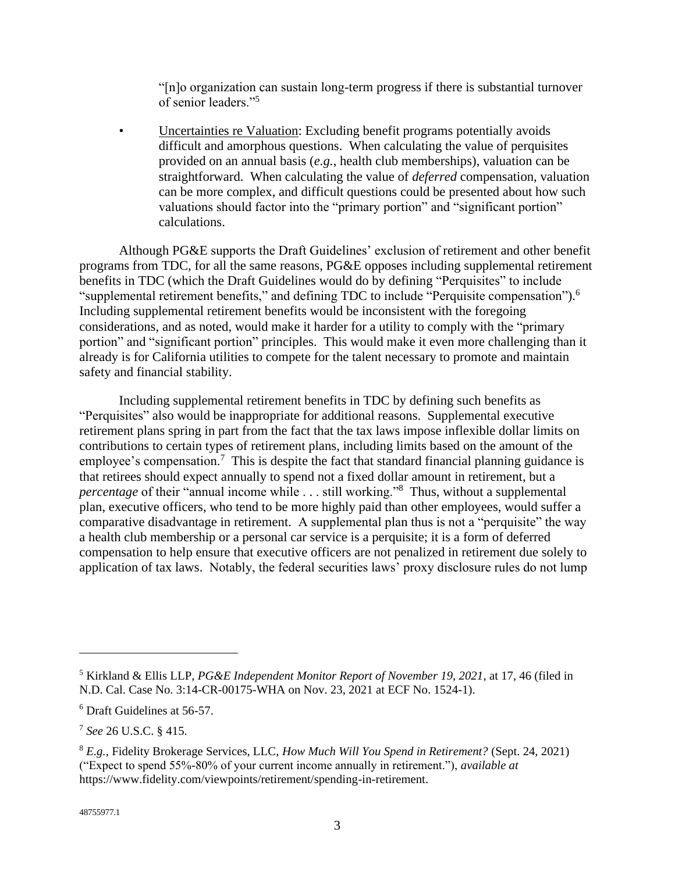"[n]o organization can sustain long-term progress if there is substantial turnover of senior leaders."<sup>5</sup>

• Uncertainties re Valuation: Excluding benefit programs potentially avoids difficult and amorphous questions. When calculating the value of perquisites provided on an annual basis (*e.g.*, health club memberships), valuation can be straightforward. When calculating the value of *deferred* compensation, valuation can be more complex, and difficult questions could be presented about how such valuations should factor into the "primary portion" and "significant portion" calculations.

Although PG&E supports the Draft Guidelines' exclusion of retirement and other benefit programs from TDC, for all the same reasons, PG&E opposes including supplemental retirement benefits in TDC (which the Draft Guidelines would do by defining "Perquisites" to include "supplemental retirement benefits," and defining TDC to include "Perquisite compensation").<sup>6</sup> Including supplemental retirement benefits would be inconsistent with the foregoing considerations, and as noted, would make it harder for a utility to comply with the "primary portion" and "significant portion" principles. This would make it even more challenging than it already is for California utilities to compete for the talent necessary to promote and maintain safety and financial stability.

Including supplemental retirement benefits in TDC by defining such benefits as "Perquisites" also would be inappropriate for additional reasons. Supplemental executive retirement plans spring in part from the fact that the tax laws impose inflexible dollar limits on contributions to certain types of retirement plans, including limits based on the amount of the employee's compensation.<sup>7</sup> This is despite the fact that standard financial planning guidance is that retirees should expect annually to spend not a fixed dollar amount in retirement, but a *percentage* of their "annual income while . . . still working."<sup>8</sup> Thus, without a supplemental plan, executive officers, who tend to be more highly paid than other employees, would suffer a comparative disadvantage in retirement. A supplemental plan thus is not a "perquisite" the way a health club membership or a personal car service is a perquisite; it is a form of deferred compensation to help ensure that executive officers are not penalized in retirement due solely to application of tax laws. Notably, the federal securities laws' proxy disclosure rules do not lump

<sup>5</sup> Kirkland & Ellis LLP, *PG&E Independent Monitor Report of November 19, 2021*, at 17, 46 (filed in N.D. Cal. Case No. 3:14-CR-00175-WHA on Nov. 23, 2021 at ECF No. 1524-1).

<sup>6</sup> Draft Guidelines at 56-57.

<sup>7</sup> *See* 26 U.S.C. § 415.

<sup>8</sup> *E.g.*, Fidelity Brokerage Services, LLC, *How Much Will You Spend in Retirement?* (Sept. 24, 2021) ("Expect to spend 55%-80% of your current income annually in retirement."), *available at* https://www.fidelity.com/viewpoints/retirement/spending-in-retirement.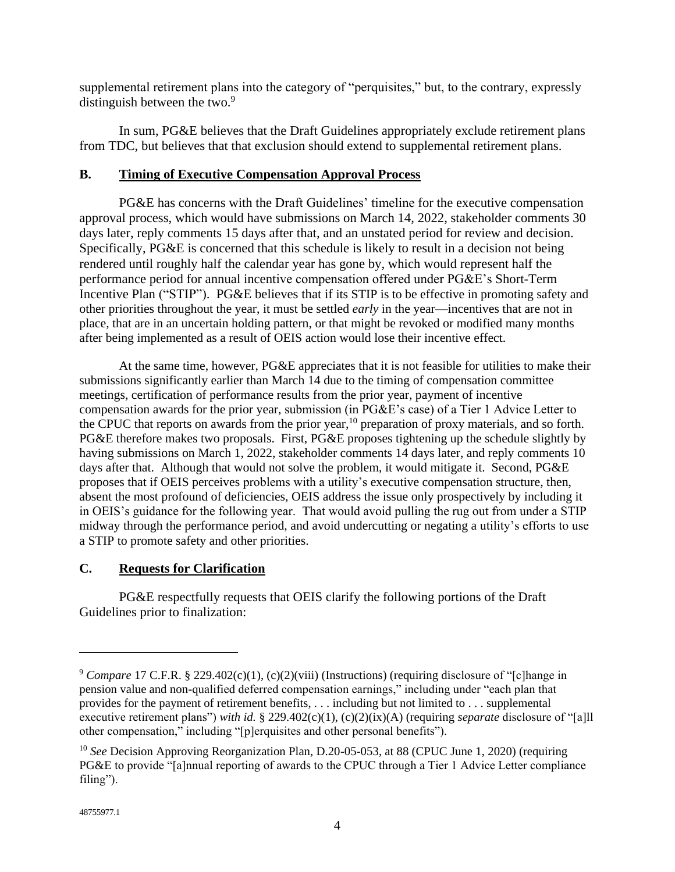supplemental retirement plans into the category of "perquisites," but, to the contrary, expressly distinguish between the two.<sup>9</sup>

In sum, PG&E believes that the Draft Guidelines appropriately exclude retirement plans from TDC, but believes that that exclusion should extend to supplemental retirement plans.

## **B. Timing of Executive Compensation Approval Process**

PG&E has concerns with the Draft Guidelines' timeline for the executive compensation approval process, which would have submissions on March 14, 2022, stakeholder comments 30 days later, reply comments 15 days after that, and an unstated period for review and decision. Specifically, PG&E is concerned that this schedule is likely to result in a decision not being rendered until roughly half the calendar year has gone by, which would represent half the performance period for annual incentive compensation offered under PG&E's Short-Term Incentive Plan ("STIP"). PG&E believes that if its STIP is to be effective in promoting safety and other priorities throughout the year, it must be settled *early* in the year—incentives that are not in place, that are in an uncertain holding pattern, or that might be revoked or modified many months after being implemented as a result of OEIS action would lose their incentive effect.

At the same time, however, PG&E appreciates that it is not feasible for utilities to make their submissions significantly earlier than March 14 due to the timing of compensation committee meetings, certification of performance results from the prior year, payment of incentive compensation awards for the prior year, submission (in PG&E's case) of a Tier 1 Advice Letter to the CPUC that reports on awards from the prior year,<sup>10</sup> preparation of proxy materials, and so forth. PG&E therefore makes two proposals. First, PG&E proposes tightening up the schedule slightly by having submissions on March 1, 2022, stakeholder comments 14 days later, and reply comments 10 days after that. Although that would not solve the problem, it would mitigate it. Second, PG&E proposes that if OEIS perceives problems with a utility's executive compensation structure, then, absent the most profound of deficiencies, OEIS address the issue only prospectively by including it in OEIS's guidance for the following year. That would avoid pulling the rug out from under a STIP midway through the performance period, and avoid undercutting or negating a utility's efforts to use a STIP to promote safety and other priorities.

## **C. Requests for Clarification**

PG&E respectfully requests that OEIS clarify the following portions of the Draft Guidelines prior to finalization:

<sup>9</sup> *Compare* 17 C.F.R. § 229.402(c)(1), (c)(2)(viii) (Instructions) (requiring disclosure of "[c]hange in pension value and non-qualified deferred compensation earnings," including under "each plan that provides for the payment of retirement benefits, . . . including but not limited to . . . supplemental executive retirement plans") *with id.* § 229.402(c)(1), (c)(2)(ix)(A) (requiring *separate* disclosure of "[a]ll other compensation," including "[p]erquisites and other personal benefits").

<sup>&</sup>lt;sup>10</sup> See Decision Approving Reorganization Plan, D.20-05-053, at 88 (CPUC June 1, 2020) (requiring PG&E to provide "[a]nnual reporting of awards to the CPUC through a Tier 1 Advice Letter compliance filing").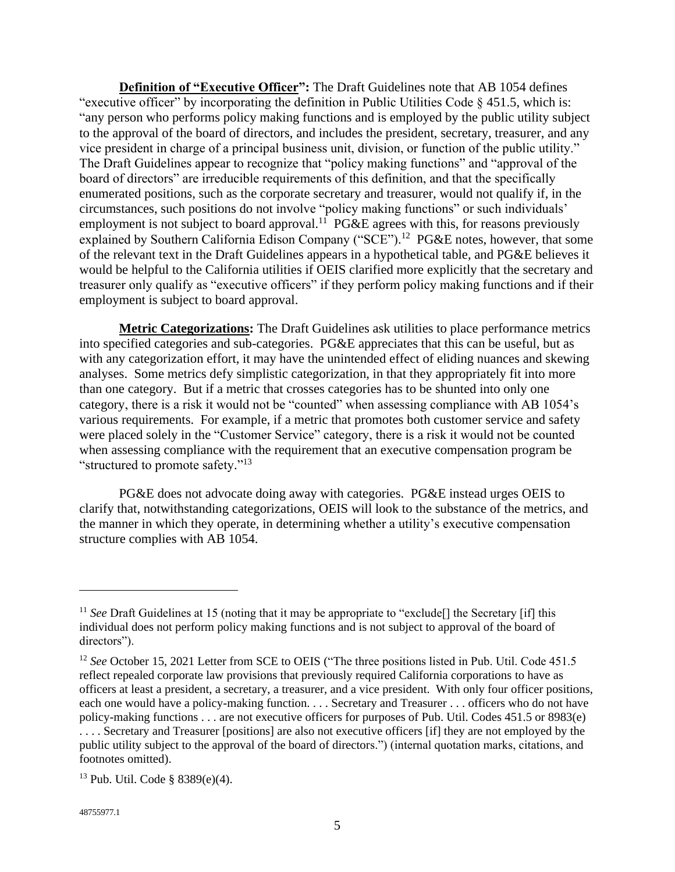**Definition of "Executive Officer":** The Draft Guidelines note that AB 1054 defines "executive officer" by incorporating the definition in Public Utilities Code § 451.5, which is: "any person who performs policy making functions and is employed by the public utility subject to the approval of the board of directors, and includes the president, secretary, treasurer, and any vice president in charge of a principal business unit, division, or function of the public utility." The Draft Guidelines appear to recognize that "policy making functions" and "approval of the board of directors" are irreducible requirements of this definition, and that the specifically enumerated positions, such as the corporate secretary and treasurer, would not qualify if, in the circumstances, such positions do not involve "policy making functions" or such individuals' employment is not subject to board approval.<sup>11</sup> PG&E agrees with this, for reasons previously explained by Southern California Edison Company ("SCE").<sup>12</sup> PG&E notes, however, that some of the relevant text in the Draft Guidelines appears in a hypothetical table, and PG&E believes it would be helpful to the California utilities if OEIS clarified more explicitly that the secretary and treasurer only qualify as "executive officers" if they perform policy making functions and if their employment is subject to board approval.

**Metric Categorizations:** The Draft Guidelines ask utilities to place performance metrics into specified categories and sub-categories. PG&E appreciates that this can be useful, but as with any categorization effort, it may have the unintended effect of eliding nuances and skewing analyses. Some metrics defy simplistic categorization, in that they appropriately fit into more than one category. But if a metric that crosses categories has to be shunted into only one category, there is a risk it would not be "counted" when assessing compliance with AB 1054's various requirements. For example, if a metric that promotes both customer service and safety were placed solely in the "Customer Service" category, there is a risk it would not be counted when assessing compliance with the requirement that an executive compensation program be "structured to promote safety."<sup>13</sup>

PG&E does not advocate doing away with categories. PG&E instead urges OEIS to clarify that, notwithstanding categorizations, OEIS will look to the substance of the metrics, and the manner in which they operate, in determining whether a utility's executive compensation structure complies with AB 1054.

<sup>&</sup>lt;sup>11</sup> *See* Draft Guidelines at 15 (noting that it may be appropriate to "exclude<sup>[]</sup> the Secretary [if] this individual does not perform policy making functions and is not subject to approval of the board of directors").

<sup>&</sup>lt;sup>12</sup> See October 15, 2021 Letter from SCE to OEIS ("The three positions listed in Pub. Util. Code 451.5 reflect repealed corporate law provisions that previously required California corporations to have as officers at least a president, a secretary, a treasurer, and a vice president. With only four officer positions, each one would have a policy-making function. . . . Secretary and Treasurer . . . officers who do not have policy-making functions . . . are not executive officers for purposes of Pub. Util. Codes 451.5 or 8983(e) . . . . Secretary and Treasurer [positions] are also not executive officers [if] they are not employed by the public utility subject to the approval of the board of directors.") (internal quotation marks, citations, and footnotes omitted).

 $13$  Pub. Util. Code § 8389(e)(4).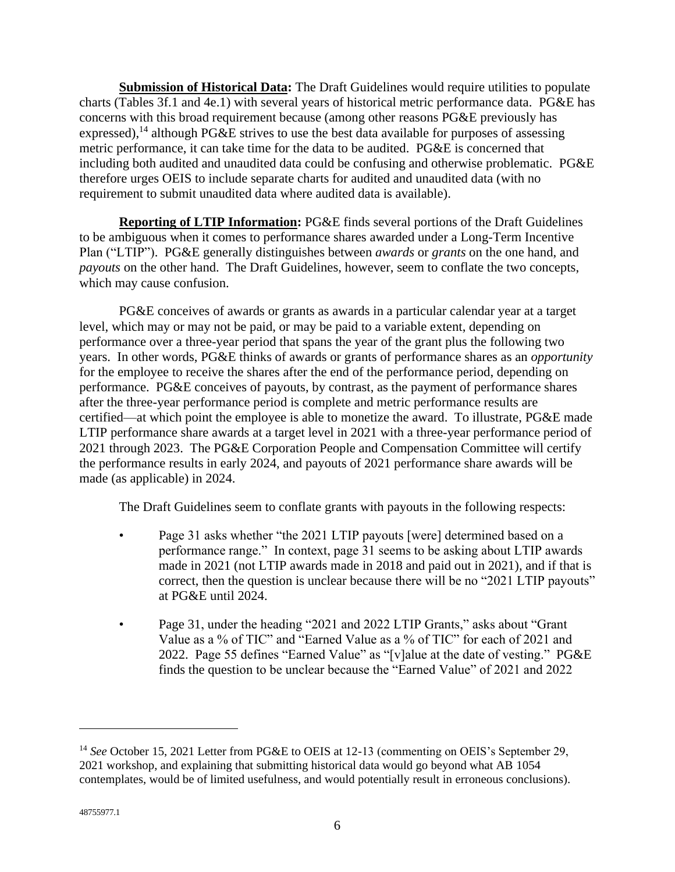**Submission of Historical Data:** The Draft Guidelines would require utilities to populate charts (Tables 3f.1 and 4e.1) with several years of historical metric performance data. PG&E has concerns with this broad requirement because (among other reasons PG&E previously has expressed),<sup>14</sup> although PG&E strives to use the best data available for purposes of assessing metric performance, it can take time for the data to be audited. PG&E is concerned that including both audited and unaudited data could be confusing and otherwise problematic. PG&E therefore urges OEIS to include separate charts for audited and unaudited data (with no requirement to submit unaudited data where audited data is available).

**Reporting of LTIP Information:** PG&E finds several portions of the Draft Guidelines to be ambiguous when it comes to performance shares awarded under a Long-Term Incentive Plan ("LTIP"). PG&E generally distinguishes between *awards* or *grants* on the one hand, and *payouts* on the other hand. The Draft Guidelines, however, seem to conflate the two concepts, which may cause confusion.

PG&E conceives of awards or grants as awards in a particular calendar year at a target level, which may or may not be paid, or may be paid to a variable extent, depending on performance over a three-year period that spans the year of the grant plus the following two years. In other words, PG&E thinks of awards or grants of performance shares as an *opportunity* for the employee to receive the shares after the end of the performance period, depending on performance. PG&E conceives of payouts, by contrast, as the payment of performance shares after the three-year performance period is complete and metric performance results are certified—at which point the employee is able to monetize the award. To illustrate, PG&E made LTIP performance share awards at a target level in 2021 with a three-year performance period of 2021 through 2023. The PG&E Corporation People and Compensation Committee will certify the performance results in early 2024, and payouts of 2021 performance share awards will be made (as applicable) in 2024.

The Draft Guidelines seem to conflate grants with payouts in the following respects:

- Page 31 asks whether "the 2021 LTIP payouts [were] determined based on a performance range." In context, page 31 seems to be asking about LTIP awards made in 2021 (not LTIP awards made in 2018 and paid out in 2021), and if that is correct, then the question is unclear because there will be no "2021 LTIP payouts" at PG&E until 2024.
- Page 31, under the heading "2021 and 2022 LTIP Grants," asks about "Grant Value as a % of TIC" and "Earned Value as a % of TIC" for each of 2021 and 2022. Page 55 defines "Earned Value" as "[v]alue at the date of vesting." PG&E finds the question to be unclear because the "Earned Value" of 2021 and 2022

<sup>&</sup>lt;sup>14</sup> See October 15, 2021 Letter from PG&E to OEIS at 12-13 (commenting on OEIS's September 29, 2021 workshop, and explaining that submitting historical data would go beyond what AB 1054 contemplates, would be of limited usefulness, and would potentially result in erroneous conclusions).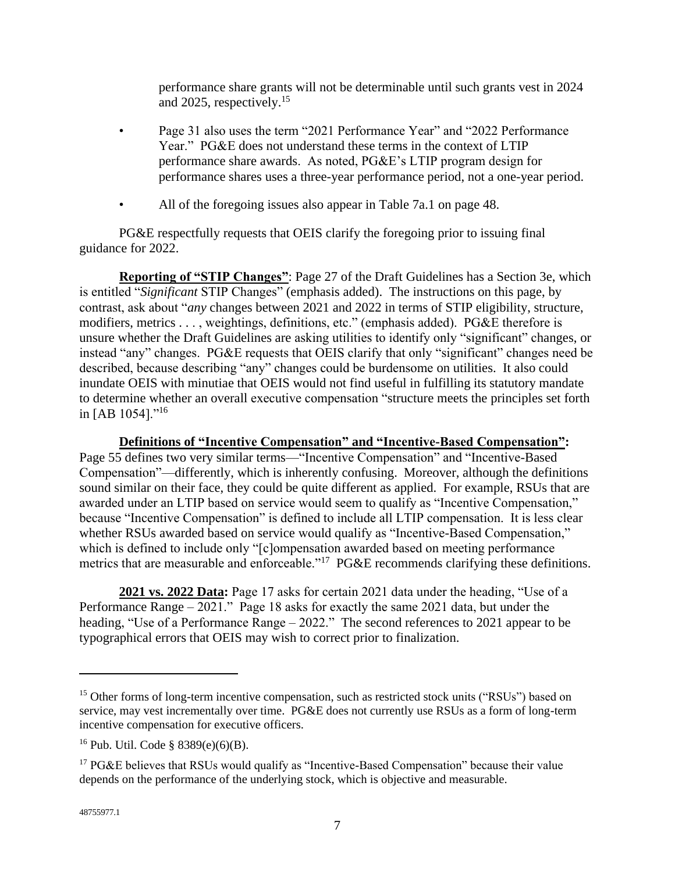performance share grants will not be determinable until such grants vest in 2024 and 2025, respectively.<sup>15</sup>

- Page 31 also uses the term "2021 Performance Year" and "2022 Performance" Year." PG&E does not understand these terms in the context of LTIP performance share awards. As noted, PG&E's LTIP program design for performance shares uses a three-year performance period, not a one-year period.
- All of the foregoing issues also appear in Table 7a.1 on page 48.

PG&E respectfully requests that OEIS clarify the foregoing prior to issuing final guidance for 2022.

**Reporting of "STIP Changes"**: Page 27 of the Draft Guidelines has a Section 3e, which is entitled "*Significant* STIP Changes" (emphasis added). The instructions on this page, by contrast, ask about "*any* changes between 2021 and 2022 in terms of STIP eligibility, structure, modifiers, metrics . . . , weightings, definitions, etc." (emphasis added). PG&E therefore is unsure whether the Draft Guidelines are asking utilities to identify only "significant" changes, or instead "any" changes. PG&E requests that OEIS clarify that only "significant" changes need be described, because describing "any" changes could be burdensome on utilities. It also could inundate OEIS with minutiae that OEIS would not find useful in fulfilling its statutory mandate to determine whether an overall executive compensation "structure meets the principles set forth in [AB 1054]."<sup>16</sup>

**Definitions of "Incentive Compensation" and "Incentive-Based Compensation":**  Page 55 defines two very similar terms—"Incentive Compensation" and "Incentive-Based Compensation"—differently, which is inherently confusing. Moreover, although the definitions sound similar on their face, they could be quite different as applied. For example, RSUs that are awarded under an LTIP based on service would seem to qualify as "Incentive Compensation," because "Incentive Compensation" is defined to include all LTIP compensation. It is less clear whether RSUs awarded based on service would qualify as "Incentive-Based Compensation," which is defined to include only "[c]ompensation awarded based on meeting performance metrics that are measurable and enforceable."<sup>17</sup> PG&E recommends clarifying these definitions.

**2021 vs. 2022 Data:** Page 17 asks for certain 2021 data under the heading, "Use of a Performance Range – 2021." Page 18 asks for exactly the same 2021 data, but under the heading, "Use of a Performance Range – 2022." The second references to 2021 appear to be typographical errors that OEIS may wish to correct prior to finalization.

<sup>&</sup>lt;sup>15</sup> Other forms of long-term incentive compensation, such as restricted stock units ("RSUs") based on service, may vest incrementally over time. PG&E does not currently use RSUs as a form of long-term incentive compensation for executive officers.

<sup>&</sup>lt;sup>16</sup> Pub. Util. Code § 8389(e)(6)(B).

 $17$  PG&E believes that RSUs would qualify as "Incentive-Based Compensation" because their value depends on the performance of the underlying stock, which is objective and measurable.